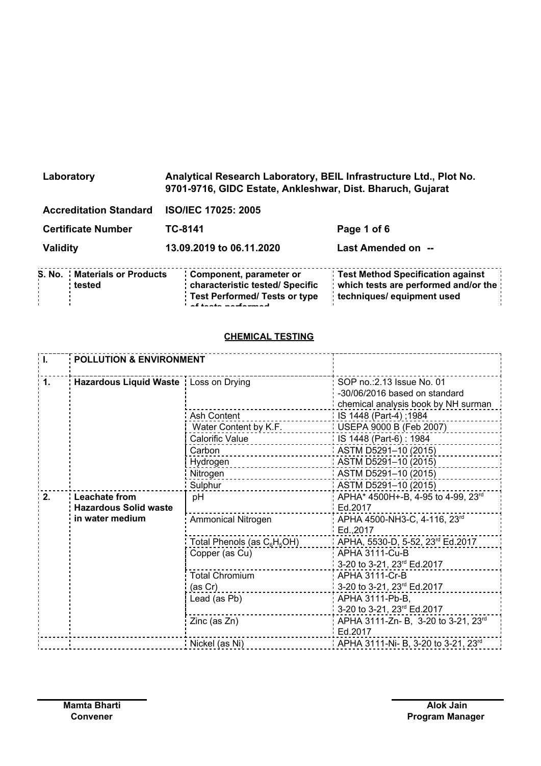| Laboratory                                    | Analytical Research Laboratory, BEIL Infrastructure Ltd., Plot No.<br>9701-9716, GIDC Estate, Ankleshwar, Dist. Bharuch, Gujarat |                                                                                                         |
|-----------------------------------------------|----------------------------------------------------------------------------------------------------------------------------------|---------------------------------------------------------------------------------------------------------|
| <b>Accreditation Standard</b>                 | <b>ISO/IEC 17025: 2005</b>                                                                                                       |                                                                                                         |
| <b>Certificate Number</b>                     | TC-8141                                                                                                                          | Page 1 of 6                                                                                             |
| Validity                                      | 13.09.2019 to 06.11.2020                                                                                                         | Last Amended on --                                                                                      |
| <b>S. No. Materials or Products</b><br>tested | Component, parameter or<br>characteristic tested/ Specific<br><b>Test Performed/ Tests or type</b><br><b>RACIAL DESCRIPTION</b>  | Test Method Specification against<br>which tests are performed and/or the<br>techniques/ equipment used |

## **CHEMICAL TESTING**

**of tests performed**

| i L               | <b>POLLUTION &amp; ENVIRONMENT</b>            |                                                     |                                                                                                    |
|-------------------|-----------------------------------------------|-----------------------------------------------------|----------------------------------------------------------------------------------------------------|
| $\blacksquare$ 1. | Hazardous Liquid Waste   Loss on Drying       |                                                     | SOP no.: 2.13 Issue No. 01<br>-30/06/2016 based on standard<br>chemical analysis book by NH surman |
|                   |                                               | Ash Content                                         | $\blacksquare$ IS 1448 (Part-4); 1984                                                              |
|                   |                                               | Water Content by K.F. [19] USEPA 9000 B (Feb 2007)  |                                                                                                    |
|                   |                                               | Calorific Value                                     | $IB$ 1448 (Part-6): 1984                                                                           |
|                   |                                               | Carbon<br>. <u>.</u>                                | $\frac{1}{2}$ ASTM D5291-10 (2015)                                                                 |
|                   |                                               | Hydrogen                                            | ASTM D5291-10 (2015)                                                                               |
|                   |                                               | Nitrogen                                            | ASTM D5291-10 (2015)                                                                               |
|                   |                                               | Sulphur                                             | ASTM D5291-10 (2015)                                                                               |
| 2.                | Leachate from<br><b>Hazardous Solid waste</b> | рH                                                  | APHA* 4500H+-B, 4-95 to 4-99, 23rd<br>Ed.2017                                                      |
|                   | in water medium                               | <b>Ammonical Nitrogen</b>                           | APHA 4500-NH3-C, 4-116, 23rd<br>Ed.2017                                                            |
|                   |                                               | Total Phenols (as C <sub>6</sub> H <sub>5</sub> OH) | : APHA, 5530-D, 5-52, 23rd Ed.2017                                                                 |
|                   |                                               | Copper (as Cu)                                      | APHA 3111-Cu-B<br>3-20 to 3-21, 23rd Ed.2017                                                       |
|                   |                                               | <b>Total Chromium</b>                               | APHA 3111-Cr-B                                                                                     |
|                   |                                               | (as Cr)                                             | 3-20 to 3-21, 23rd Ed.2017                                                                         |
|                   |                                               | Lead (as Pb)                                        | APHA 3111-Pb-B,                                                                                    |
|                   |                                               |                                                     | 3-20 to 3-21, 23rd Ed.2017                                                                         |
|                   |                                               | Zinc (as Zn)                                        | APHA 3111-Zn- B, 3-20 to 3-21, 23rd<br>Ed.2017                                                     |
|                   |                                               | Nickel (as Ni)                                      | 1 APHA 3111-Ni- B, 3-20 to 3-21, 23rd                                                              |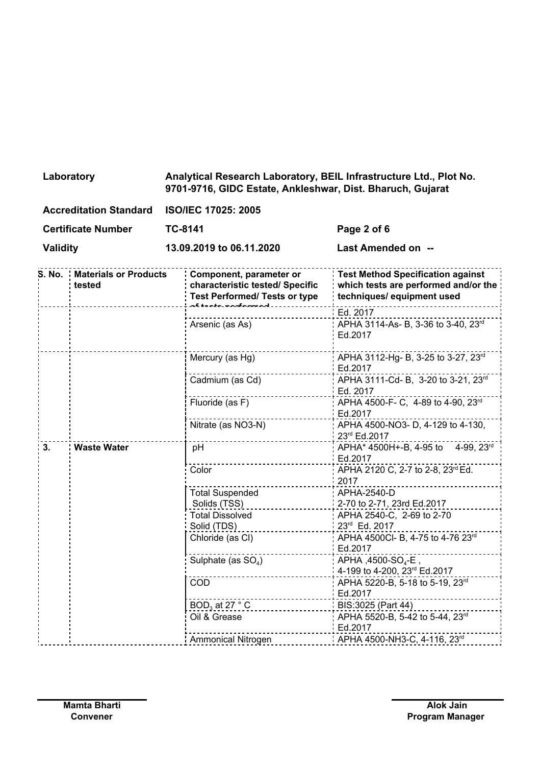| Laboratory | Analytical Research Laboratory, BEIL Infrastructure Ltd., Plot No. |
|------------|--------------------------------------------------------------------|
|            | 9701-9716, GIDC Estate, Ankleshwar, Dist. Bharuch, Gujarat         |
|            |                                                                    |

**Certificate Number TC-8141 Page 2 of 6**

**Validity 13.09.2019 to 06.11.2020 Last Amended on --**

|    | <b>S. No. Materials or Products</b><br>tested | Component, parameter or<br>characteristic tested/ Specific<br><b>Test Performed/ Tests or type</b> | <b>Test Method Specification against</b><br>which tests are performed and/or the<br>techniques/ equipment used |
|----|-----------------------------------------------|----------------------------------------------------------------------------------------------------|----------------------------------------------------------------------------------------------------------------|
|    |                                               |                                                                                                    | Ed. 2017                                                                                                       |
|    |                                               | Arsenic (as As)                                                                                    | APHA 3114-As- B, 3-36 to 3-40, 23rd<br>Ed.2017                                                                 |
|    |                                               | Mercury (as Hg)                                                                                    | APHA 3112-Hg- B, 3-25 to 3-27, 23rd<br>Ed.2017                                                                 |
|    |                                               | Cadmium (as Cd)                                                                                    | APHA 3111-Cd- B, 3-20 to 3-21, 23rd<br>Ed. 2017                                                                |
|    |                                               | Fluoride (as F)                                                                                    | APHA 4500-F- C, 4-89 to 4-90, 23rd<br>Ed.2017                                                                  |
|    |                                               | Nitrate (as NO3-N)                                                                                 | APHA 4500-NO3- D, 4-129 to 4-130,<br>23rd Ed.2017                                                              |
| 3. | <b>Waste Water</b>                            | pH                                                                                                 | APHA* 4500H+-B, 4-95 to 4-99, 23rd<br>Ed.2017                                                                  |
|    |                                               | Color                                                                                              | APHA 2120 C, 2-7 to 2-8, 23rd Ed.<br>2017                                                                      |
|    |                                               | <b>Total Suspended</b>                                                                             | APHA-2540-D                                                                                                    |
|    |                                               | Solids (TSS)                                                                                       | 2-70 to 2-71, 23rd Ed.2017                                                                                     |
|    |                                               | <b>Total Dissolved</b>                                                                             | APHA 2540-C, 2-69 to 2-70                                                                                      |
|    |                                               | Solid (TDS)                                                                                        | 23rd Ed. 2017                                                                                                  |
|    |                                               | Chloride (as CI)                                                                                   | APHA 4500Cl- B, 4-75 to 4-76 23rd<br>Ed.2017                                                                   |
|    |                                               | Sulphate (as $SO4$ )                                                                               | APHA, 4500-SO <sub>4</sub> -E                                                                                  |
|    |                                               | COD                                                                                                | 4-199 to 4-200, 23rd Ed.2017<br>APHA 5220-B, 5-18 to 5-19, 23rd                                                |
|    |                                               |                                                                                                    | Ed.2017                                                                                                        |
|    |                                               | $BOD3$ at 27 $^{\circ}$ C                                                                          | BIS:3025 (Part 44)                                                                                             |
|    |                                               | Oil & Grease                                                                                       | APHA 5520-B, 5-42 to 5-44, 23rd<br>Ed.2017                                                                     |
|    |                                               | <b>Ammonical Nitrogen</b>                                                                          | $\cdot$ APHA 4500-NH3-C, 4-116, 23 <sup>rd</sup>                                                               |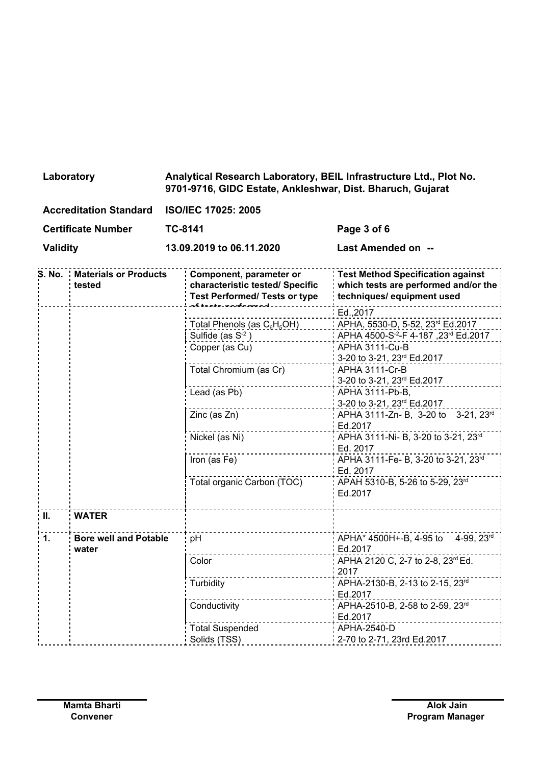| Laboratory             | Analytical Research Laboratory, BEIL Infrastructure Ltd., Plot No.<br>9701-9716, GIDC Estate, Ankleshwar, Dist. Bharuch, Gujarat |
|------------------------|----------------------------------------------------------------------------------------------------------------------------------|
| Accreditation Standard | ICOMFC 17025: 2005                                                                                                               |

| ACCreditation Standard BOMEC 17025, 2005 |         |             |
|------------------------------------------|---------|-------------|
| <b>Certificate Number</b>                | TC-8141 | Page 3 of 6 |

**Validity 13.09.2019 to 06.11.2020 Last Amended on --**

| S. No.          | <b>Materials or Products</b><br>tested | Component, parameter or<br>characteristic tested/ Specific<br><b>Test Performed/ Tests or type</b> | <b>Test Method Specification against</b><br>which tests are performed and/or the<br>techniques/ equipment used |
|-----------------|----------------------------------------|----------------------------------------------------------------------------------------------------|----------------------------------------------------------------------------------------------------------------|
|                 |                                        |                                                                                                    | Ed., 2017                                                                                                      |
|                 |                                        | Total Phenols (as $C_6H_5OH$ )                                                                     | APHA, 5530-D, 5-52, 23rd Ed.2017                                                                               |
|                 |                                        | Sulfide (as $S-2$ )                                                                                | 12017 APHA 4500-S <sup>-2</sup> -F 4-187, 23 <sup>rd</sup> Ed.                                                 |
|                 |                                        | Copper (as Cu)                                                                                     | APHA 3111-Cu-B                                                                                                 |
|                 |                                        |                                                                                                    | 3-20 to 3-21, 23rd Ed.2017                                                                                     |
|                 |                                        | Total Chromium (as Cr)                                                                             | <b>APHA 3111-Cr-B</b>                                                                                          |
|                 |                                        |                                                                                                    | 3-20 to 3-21, 23rd Ed.2017                                                                                     |
|                 |                                        | Lead (as Pb)                                                                                       | APHA 3111-Pb-B,                                                                                                |
|                 |                                        |                                                                                                    | 3-20 to 3-21, 23rd Ed.2017                                                                                     |
|                 |                                        | Zinc (as Zn)                                                                                       | APHA 3111-Zn- B, 3-20 to 3-21, 23rd                                                                            |
|                 |                                        |                                                                                                    | Ed.2017                                                                                                        |
|                 |                                        | Nickel (as Ni)                                                                                     | APHA 3111-Ni- B, 3-20 to 3-21, 23rd                                                                            |
|                 |                                        |                                                                                                    | Ed. 2017                                                                                                       |
|                 |                                        | Iron (as Fe)                                                                                       | APHA 3111-Fe- B, 3-20 to 3-21, 23rd                                                                            |
|                 |                                        |                                                                                                    | Ed. 2017                                                                                                       |
|                 |                                        | Total organic Carbon (TOC)                                                                         | APAH 5310-B, 5-26 to 5-29, 23rd<br>Ed.2017                                                                     |
|                 |                                        |                                                                                                    |                                                                                                                |
| $\mathbf{II}$ . | <b>WATER</b>                           |                                                                                                    |                                                                                                                |
|                 |                                        |                                                                                                    |                                                                                                                |
| $\mathbf 1$ .   | <b>Bore well and Potable</b><br>water  | pH                                                                                                 | APHA* 4500H+-B, 4-95 to 4-99, 23rd<br>Ed.2017                                                                  |
|                 |                                        | Color                                                                                              | APHA 2120 C, 2-7 to 2-8, 23rd Ed.<br>2017                                                                      |
|                 |                                        | Turbidity                                                                                          | APHA-2130-B, 2-13 to 2-15, 23rd                                                                                |
|                 |                                        |                                                                                                    | Ed.2017                                                                                                        |
|                 |                                        | Conductivity                                                                                       | APHA-2510-B, 2-58 to 2-59, 23rd                                                                                |
|                 |                                        |                                                                                                    | Ed.2017                                                                                                        |
|                 |                                        | <b>Total Suspended</b>                                                                             | APHA-2540-D                                                                                                    |
|                 |                                        | Solids (TSS)                                                                                       | 2-70 to 2-71, 23rd Ed.2017                                                                                     |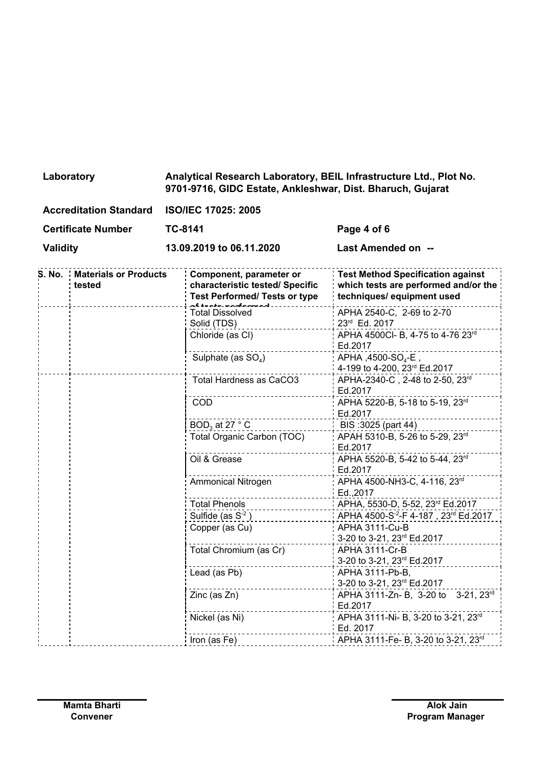| Laboratory | Analytical Research Laboratory, BEIL Infrastructure Ltd., Plot No. |
|------------|--------------------------------------------------------------------|
|            | 9701-9716, GIDC Estate, Ankleshwar, Dist. Bharuch, Gujarat         |
|            |                                                                    |

| <b>Accreditation Standard</b> | <b>ISO/IEC 17025: 2005</b> |
|-------------------------------|----------------------------|
|                               |                            |

**Certificate Number TC-8141 Page 4 of 6**

**Validity 13.09.2019 to 06.11.2020 Last Amended on --**

| <b>S. No. Materials or Products</b><br>tested | Component, parameter or<br>characteristic tested/ Specific<br><b>Test Performed/ Tests or type</b> | Test Method Specification against<br>which tests are performed and/or the<br>techniques/ equipment used |
|-----------------------------------------------|----------------------------------------------------------------------------------------------------|---------------------------------------------------------------------------------------------------------|
|                                               | <b>Total Dissolved</b>                                                                             | APHA 2540-C, 2-69 to 2-70                                                                               |
|                                               | Solid (TDS)                                                                                        | 23rd Ed. 2017                                                                                           |
|                                               | Chloride (as CI)                                                                                   | APHA 4500Cl- B, 4-75 to 4-76 23rd<br>Ed.2017                                                            |
|                                               | Sulphate (as $SO4$ )                                                                               | APHA, 4500-SO <sub>4</sub> -E,<br>4-199 to 4-200, 23rd Ed.2017                                          |
|                                               | Total Hardness as CaCO3                                                                            | APHA-2340-C, 2-48 to 2-50, 23rd                                                                         |
|                                               |                                                                                                    | Ed.2017                                                                                                 |
|                                               | COD                                                                                                | APHA 5220-B, 5-18 to 5-19, 23rd<br>Ed.2017                                                              |
|                                               | $BOD3$ at 27 ° C                                                                                   | $IBIS:3025$ (part 44)                                                                                   |
|                                               | Total Organic Carbon (TOC)                                                                         | APAH 5310-B, 5-26 to 5-29, 23rd                                                                         |
|                                               |                                                                                                    | Ed.2017                                                                                                 |
|                                               | Oil & Grease                                                                                       | APHA 5520-B, 5-42 to 5-44, 23rd<br>Ed.2017                                                              |
|                                               | <b>Ammonical Nitrogen</b>                                                                          | APHA 4500-NH3-C, 4-116, 23rd<br>Ed., 2017                                                               |
|                                               | <b>Total Phenols</b>                                                                               | APHA, 5530-D, 5-52, 23rd Ed.2017                                                                        |
|                                               | Sulfide (as $S^{-2}$ )                                                                             | APHA 4500-S <sup>-2</sup> -F 4-187, 23 <sup>rd</sup> Ed.2017                                            |
|                                               | Copper (as Cu)                                                                                     | APHA 3111-Cu-B                                                                                          |
|                                               |                                                                                                    | 3-20 to 3-21, 23rd Ed.2017                                                                              |
|                                               | Total Chromium (as Cr)                                                                             | APHA 3111-Cr-B                                                                                          |
|                                               |                                                                                                    | 3-20 to 3-21, 23rd Ed.2017                                                                              |
|                                               | Lead (as Pb)                                                                                       | APHA 3111-Pb-B,                                                                                         |
|                                               |                                                                                                    | 3-20 to 3-21, 23rd Ed.2017                                                                              |
|                                               | Zinc (as Zn)                                                                                       | APHA 3111-Zn- B, 3-20 to 3-21, 23rd<br>Ed.2017                                                          |
|                                               | Nickel (as Ni)                                                                                     | APHA 3111-Ni- B, 3-20 to 3-21, 23rd<br>Ed. 2017                                                         |
|                                               | Iron (as Fe)                                                                                       | APHA 3111-Fe- B, 3-20 to 3-21, 23rd                                                                     |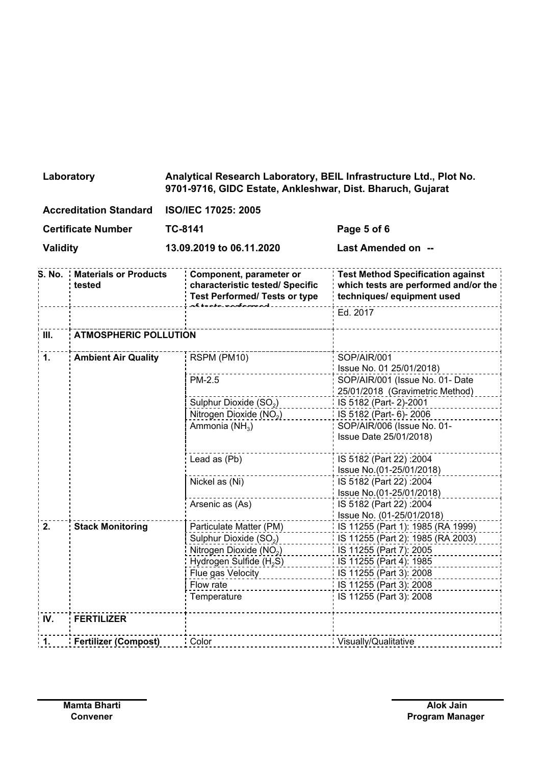## **Laboratory Analytical Research Laboratory, BEIL Infrastructure Ltd., Plot No. 9701-9716, GIDC Estate, Ankleshwar, Dist. Bharuch, Gujarat**

| <b>Accreditation Standard</b> | <b>ISO/IEC 17025: 2005</b> |                    |
|-------------------------------|----------------------------|--------------------|
| <b>Certificate Number</b>     | TC-8141                    | Page 5 of 6        |
| <b>Validity</b>               | 13.09.2019 to 06.11.2020   | Last Amended on -- |

|               | <b>S. No. Materials or Products</b><br>tested | Component, parameter or<br>characteristic tested/ Specific<br><b>Test Performed/ Tests or type</b> | <b>Test Method Specification against</b><br>which tests are performed and/or the<br>techniques/ equipment used |
|---------------|-----------------------------------------------|----------------------------------------------------------------------------------------------------|----------------------------------------------------------------------------------------------------------------|
|               |                                               |                                                                                                    | Ed. 2017                                                                                                       |
| III.          | <b>ATMOSPHERIC POLLUTION</b>                  |                                                                                                    |                                                                                                                |
| 1.            | <b>Ambient Air Quality</b>                    | RSPM (PM10)                                                                                        | SOP/AIR/001<br>Issue No. 01 25/01/2018)                                                                        |
|               |                                               | PM-2.5                                                                                             | SOP/AIR/001 (Issue No. 01- Date<br>25/01/2018 (Gravimetric Method)                                             |
|               |                                               | Sulphur Dioxide (SO <sub>2</sub> )                                                                 | IS 5182 (Part-2)-2001                                                                                          |
|               |                                               | Nitrogen Dioxide (NO <sub>2</sub> )                                                                | IS 5182 (Part- 6)-2006                                                                                         |
|               |                                               | Ammonia (NH <sub>3</sub> )                                                                         | SOP/AIR/006 (Issue No. 01-<br>Issue Date 25/01/2018)                                                           |
|               |                                               | Lead as (Pb)                                                                                       | IS 5182 (Part 22): 2004<br>Issue No.(01-25/01/2018)                                                            |
|               |                                               | Nickel as (Ni)                                                                                     | IS 5182 (Part 22): 2004<br>Issue No.(01-25/01/2018)                                                            |
|               |                                               | Arsenic as (As)                                                                                    | IS 5182 (Part 22): 2004<br>Issue No. (01-25/01/2018)                                                           |
| 2.            | <b>Stack Monitoring</b>                       | Particulate Matter (PM)                                                                            | : IS 11255 (Part 1): 1985 (RA 1999)                                                                            |
|               |                                               | Sulphur Dioxide (SO <sub>2</sub> )                                                                 | IS 11255 (Part 2): 1985 (RA 2003)                                                                              |
|               |                                               | Nitrogen Dioxide (NO <sub>2</sub> )                                                                | IS 11255 (Part 7): 2005                                                                                        |
|               |                                               | Hydrogen Sulfide (H <sub>2</sub> S)                                                                | IS 11255 (Part 4): 1985                                                                                        |
|               |                                               | Flue gas Velocity                                                                                  | IS 11255 (Part 3): 2008                                                                                        |
|               |                                               | Flow rate                                                                                          | IS 11255 (Part 3): 2008                                                                                        |
|               |                                               | Temperature                                                                                        | IS 11255 (Part 3): 2008                                                                                        |
| IV.           | <b>FERTILIZER</b>                             |                                                                                                    |                                                                                                                |
| $\mathbf 1$ . | <b>Fertilizer (Compost)</b>                   | Color                                                                                              | Visually/Qualitative                                                                                           |